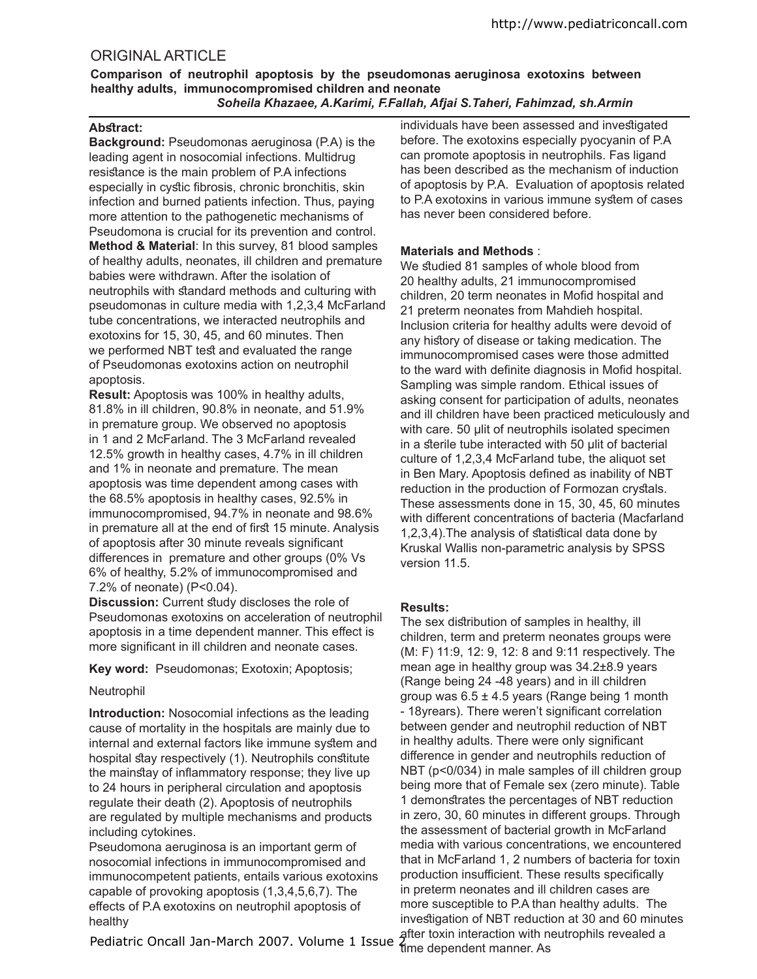# ORIGINAL ARTICLE

**Comparison of neutrophil apoptosis by the pseudomonas aeruginosa exotoxins between healthy adults, immunocompromised children and neonate**  *Soheila Khazaee, A.Karimi, F.Fallah, Afjai S.Taheri, Fahimzad, sh.Armin*

## Abstract:

**Background:** Pseudomonas aeruginosa (P.A) is the leading agent in nosocomial infections. Multidrug resistance is the main problem of P.A infections especially in cystic fibrosis, chronic bronchitis, skin infection and burned patients infection. Thus, paying more attention to the pathogenetic mechanisms of Pseudomona is crucial for its prevention and control. **Method & Material**: In this survey, 81 blood samples of healthy adults, neonates, ill children and premature babies were withdrawn. After the isolation of neutrophils with standard methods and culturing with pseudomonas in culture media with 1,2,3,4 McFarland tube concentrations, we interacted neutrophils and exotoxins for 15, 30, 45, and 60 minutes. Then we performed NBT test and evaluated the range of Pseudomonas exotoxins action on neutrophil apoptosis.

**Result:** Apoptosis was 100% in healthy adults, 81.8% in ill children, 90.8% in neonate, and 51.9% in premature group. We observed no apoptosis in 1 and 2 McFarland. The 3 McFarland revealed 12.5% growth in healthy cases, 4.7% in ill children and 1% in neonate and premature. The mean apoptosis was time dependent among cases with the 68.5% apoptosis in healthy cases, 92.5% in immunocompromised, 94.7% in neonate and 98.6% in premature all at the end of first 15 minute. Analysis of apoptosis after 30 minute reveals significant diferences in premature and other groups (0% Vs 6% of healthy, 5.2% of immunocompromised and 7.2% of neonate) (P<0.04).

**Discussion:** Current study discloses the role of Pseudomonas exotoxins on acceleration of neutrophil apoptosis in a time dependent manner. This efect is more significant in ill children and neonate cases.

**Key word:** Pseudomonas; Exotoxin; Apoptosis;

### Neutrophil

**Introduction:** Nosocomial infections as the leading cause of mortality in the hospitals are mainly due to internal and external factors like immune sytem and hospital stay respectively (1). Neutrophils constitute the mainstay of inflammatory response; they live up to 24 hours in peripheral circulation and apoptosis regulate their death (2). Apoptosis of neutrophils are regulated by multiple mechanisms and products including cytokines.

Pseudomona aeruginosa is an important germ of nosocomial infections in immunocompromised and immunocompetent patients, entails various exotoxins capable of provoking apoptosis (1,3,4,5,6,7). The efects of P.A exotoxins on neutrophil apoptosis of healthy

Pediatric Oncall Jan-March 2007. Volume 1 Issue 2

individuals have been assessed and investigated before. The exotoxins especially pyocyanin of P.A can promote apoptosis in neutrophils. Fas ligand has been described as the mechanism of induction of apoptosis by P.A. Evaluation of apoptosis related to P.A exotoxins in various immune sytem of cases has never been considered before.

# **Materials and Methods** :

We studied 81 samples of whole blood from 20 healthy adults, 21 immunocompromised children, 20 term neonates in Mofid hospital and 21 preterm neonates from Mahdieh hospital. Inclusion criteria for healthy adults were devoid of any history of disease or taking medication. The immunocompromised cases were those admitted to the ward with definite diagnosis in Mofid hospital. Sampling was simple random. Ethical issues of asking consent for participation of adults, neonates and ill children have been practiced meticulously and with care. 50 µlit of neutrophils isolated specimen in a sterile tube interacted with 50 µlit of bacterial culture of 1,2,3,4 McFarland tube, the aliquot set in Ben Mary. Apoptosis defined as inability of NBT reduction in the production of Formozan crystals. These assessments done in 15, 30, 45, 60 minutes with diferent concentrations of bacteria (Macfarland  $1,2,3,4$ ). The analysis of statistical data done by Kruskal Wallis non-parametric analysis by SPSS version 11.5.

# **Results:**

The sex distribution of samples in healthy, ill children, term and preterm neonates groups were (M: F) 11:9, 12: 9, 12: 8 and 9:11 respectively. The mean age in healthy group was 34.2±8.9 years (Range being 24 -48 years) and in ill children group was  $6.5 \pm 4.5$  years (Range being 1 month - 18yrears). There weren't significant correlation between gender and neutrophil reduction of NBT in healthy adults. There were only significant diference in gender and neutrophils reduction of NBT (p<0/034) in male samples of ill children group being more that of Female sex (zero minute). Table 1 demonstrates the percentages of NBT reduction in zero, 30, 60 minutes in diferent groups. Through the assessment of bacterial growth in McFarland media with various concentrations, we encountered that in McFarland 1, 2 numbers of bacteria for toxin production insufficient. These results specifically in preterm neonates and ill children cases are more susceptible to P.A than healthy adults. The investigation of NBT reduction at 30 and 60 minutes after toxin interaction with neutrophils revealed a time dependent manner. As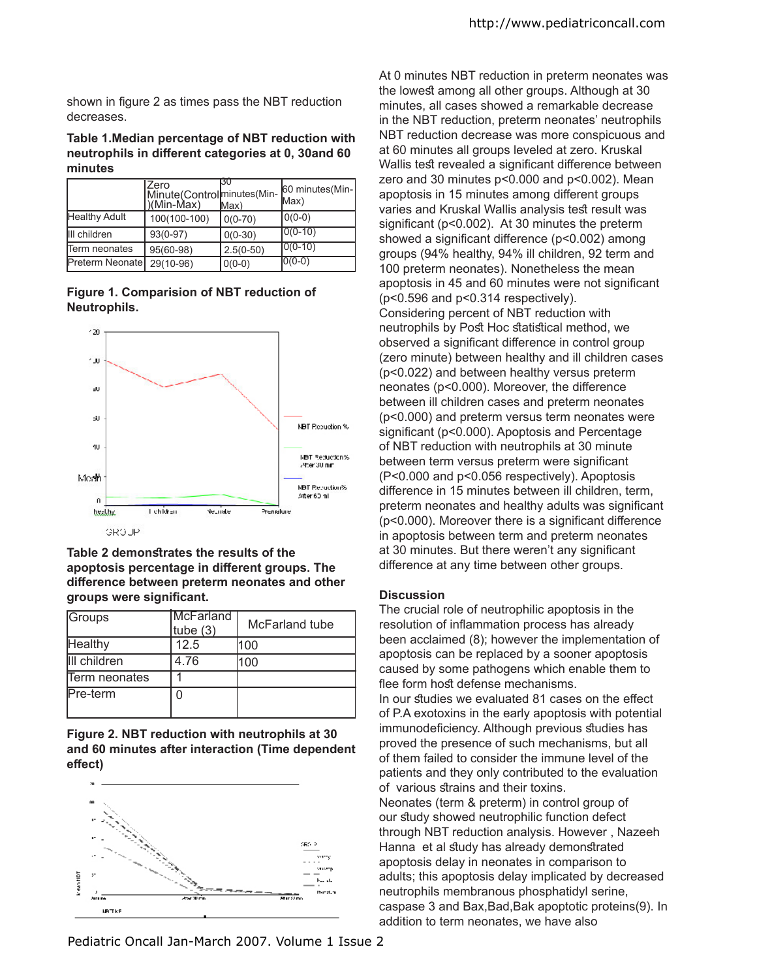shown in figure 2 as times pass the NBT reduction decreases.

### **Table 1.Median percentage of NBT reduction with neutrophils in diferent categories at 0, 30and 60 minutes**

|                      | Zero<br>Minute(Controlminutes(Min- 60 minutes(Min-<br>)(Min-Max) | Max)        | Max)        |
|----------------------|------------------------------------------------------------------|-------------|-------------|
| <b>Healthy Adult</b> | 100(100-100)                                                     | $0(0-70)$   | $0(0-0)$    |
| III children         | $93(0-97)$                                                       | $0(0-30)$   | $ 0(0-10) $ |
| Term neonates        | 95(60-98)                                                        | $2.5(0-50)$ | $10(0-10)$  |
| Preterm Neonate      | 29(10-96)                                                        | $ 0(0-0) $  | $ 0(0-0) $  |





**Table 2 demonstrates the results of the apoptosis percentage in diferent groups. The diference between preterm neonates and other groups were signiicant.**

| Groups        | McFarland<br>tube $(3)$ | McFarland tube |
|---------------|-------------------------|----------------|
| Healthy       | 12.5                    | 100            |
| III children  | 4.76                    | 100            |
| Term neonates |                         |                |
| Pre-term      |                         |                |

## **Figure 2. NBT reduction with neutrophils at 30 and 60 minutes after interaction (Time dependent efect)**



At 0 minutes NBT reduction in preterm neonates was the lowest among all other groups. Although at 30 minutes, all cases showed a remarkable decrease in the NBT reduction, preterm neonates' neutrophils NBT reduction decrease was more conspicuous and at 60 minutes all groups leveled at zero. Kruskal Wallis test revealed a significant difference between zero and 30 minutes p<0.000 and p<0.002). Mean apoptosis in 15 minutes among diferent groups varies and Kruskal Wallis analysis test result was significant ( $p<0.002$ ). At 30 minutes the preterm showed a significant difference ( $p$ <0.002) among groups (94% healthy, 94% ill children, 92 term and 100 preterm neonates). Nonetheless the mean apoptosis in 45 and 60 minutes were not significant (p<0.596 and p<0.314 respectively). Considering percent of NBT reduction with neutrophils by Post Hoc statistical method, we observed a significant difference in control group (zero minute) between healthy and ill children cases (p<0.022) and between healthy versus preterm neonates (p<0.000). Moreover, the diference between ill children cases and preterm neonates (p<0.000) and preterm versus term neonates were significant (p<0.000). Apoptosis and Percentage of NBT reduction with neutrophils at 30 minute between term versus preterm were significant (P<0.000 and p<0.056 respectively). Apoptosis diference in 15 minutes between ill children, term, preterm neonates and healthy adults was significant

 $(p<0.000)$ . Moreover there is a significant difference in apoptosis between term and preterm neonates at 30 minutes. But there weren't any significant diference at any time between other groups.

### **Discussion**

The crucial role of neutrophilic apoptosis in the resolution of inflammation process has already been acclaimed (8); however the implementation of apoptosis can be replaced by a sooner apoptosis caused by some pathogens which enable them to flee form host defense mechanisms

In our studies we evaluated 81 cases on the effect of P.A exotoxins in the early apoptosis with potential immunodeficiency. Although previous studies has proved the presence of such mechanisms, but all of them failed to consider the immune level of the patients and they only contributed to the evaluation of various strains and their toxins.

Neonates (term & preterm) in control group of our study showed neutrophilic function defect through NBT reduction analysis. However , Nazeeh Hanna et al study has already demonstrated apoptosis delay in neonates in comparison to adults; this apoptosis delay implicated by decreased neutrophils membranous phosphatidyl serine, caspase 3 and Bax,Bad,Bak apoptotic proteins(9). In addition to term neonates, we have also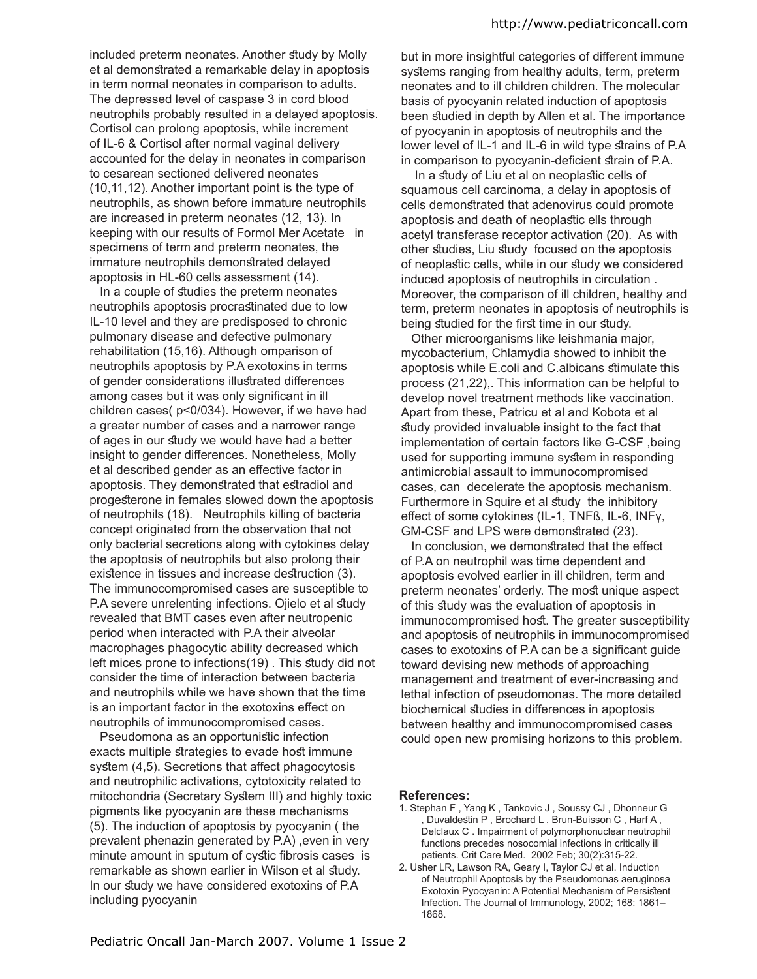included preterm neonates. Another study by Molly et al demonstrated a remarkable delay in apoptosis in term normal neonates in comparison to adults. The depressed level of caspase 3 in cord blood neutrophils probably resulted in a delayed apoptosis. Cortisol can prolong apoptosis, while increment of IL-6 & Cortisol after normal vaginal delivery accounted for the delay in neonates in comparison to cesarean sectioned delivered neonates (10,11,12). Another important point is the type of neutrophils, as shown before immature neutrophils are increased in preterm neonates (12, 13). In keeping with our results of Formol Mer Acetate in specimens of term and preterm neonates, the immature neutrophils demonstrated delayed apoptosis in HL-60 cells assessment (14).

In a couple of studies the preterm neonates neutrophils apoptosis procrastinated due to low IL-10 level and they are predisposed to chronic pulmonary disease and defective pulmonary rehabilitation (15,16). Although omparison of neutrophils apoptosis by P.A exotoxins in terms of gender considerations illustrated differences among cases but it was only significant in ill children cases( p<0/034). However, if we have had a greater number of cases and a narrower range of ages in our study we would have had a better insight to gender diferences. Nonetheless, Molly et al described gender as an efective factor in apoptosis. They demonstrated that estradiol and progesterone in females slowed down the apoptosis of neutrophils (18). Neutrophils killing of bacteria concept originated from the observation that not only bacterial secretions along with cytokines delay the apoptosis of neutrophils but also prolong their existence in tissues and increase destruction (3). The immunocompromised cases are susceptible to P.A severe unrelenting infections. Ojielo et al study revealed that BMT cases even after neutropenic period when interacted with P.A their alveolar macrophages phagocytic ability decreased which left mices prone to infections (19). This study did not consider the time of interaction between bacteria and neutrophils while we have shown that the time is an important factor in the exotoxins efect on neutrophils of immunocompromised cases.

Pseudomona as an opportunistic infection exacts multiple strategies to evade host immune system (4,5). Secretions that affect phagocytosis and neutrophilic activations, cytotoxicity related to mitochondria (Secretary System III) and highly toxic pigments like pyocyanin are these mechanisms (5). The induction of apoptosis by pyocyanin ( the prevalent phenazin generated by P.A) ,even in very minute amount in sputum of cystic fibrosis cases is remarkable as shown earlier in Wilson et al study. In our study we have considered exotoxins of P.A. including pyocyanin

but in more insightful categories of diferent immune systems ranging from healthy adults, term, preterm neonates and to ill children children. The molecular basis of pyocyanin related induction of apoptosis been studied in depth by Allen et al. The importance of pyocyanin in apoptosis of neutrophils and the lower level of IL-1 and IL-6 in wild type strains of P.A in comparison to pyocyanin-deficient strain of P.A.

In a study of Liu et al on neoplastic cells of squamous cell carcinoma, a delay in apoptosis of cells demonstrated that adenovirus could promote apoptosis and death of neoplastic ells through acetyl transferase receptor activation (20). As with other studies, Liu study focused on the apoptosis of neoplastic cells, while in our study we considered induced apoptosis of neutrophils in circulation . Moreover, the comparison of ill children, healthy and term, preterm neonates in apoptosis of neutrophils is being studied for the first time in our study.

 Other microorganisms like leishmania major, mycobacterium, Chlamydia showed to inhibit the apoptosis while E.coli and C.albicans timulate this process (21,22),. This information can be helpful to develop novel treatment methods like vaccination. Apart from these, Patricu et al and Kobota et al study provided invaluable insight to the fact that implementation of certain factors like G-CSF ,being used for supporting immune sytem in responding antimicrobial assault to immunocompromised cases, can decelerate the apoptosis mechanism. Furthermore in Squire et al study the inhibitory efect of some cytokines (IL-1, TNFß, IL-6, INFγ, GM-CSF and LPS were demonstrated (23).

In conclusion, we demonstrated that the effect of P.A on neutrophil was time dependent and apoptosis evolved earlier in ill children, term and preterm neonates' orderly. The most unique aspect of this study was the evaluation of apoptosis in immunocompromised host. The greater susceptibility and apoptosis of neutrophils in immunocompromised cases to exotoxins of P.A can be a significant guide toward devising new methods of approaching management and treatment of ever-increasing and lethal infection of pseudomonas. The more detailed biochemical studies in differences in apoptosis between healthy and immunocompromised cases could open new promising horizons to this problem.

### **References:**

- 1. Stephan F , Yang K , Tankovic J , Soussy CJ , Dhonneur G Duvaldestin P, Brochard L, Brun-Buisson C, Harf A, Delclaux C . Impairment of polymorphonuclear neutrophil functions precedes nosocomial infections in critically ill patients. Crit Care Med. 2002 Feb; 30(2):315-22.
- 2. Usher LR, Lawson RA, Geary I, Taylor CJ et al. Induction of Neutrophil Apoptosis by the Pseudomonas aeruginosa Exotoxin Pyocyanin: A Potential Mechanism of Persistent Infection. The Journal of Immunology, 2002; 168: 1861– 1868.